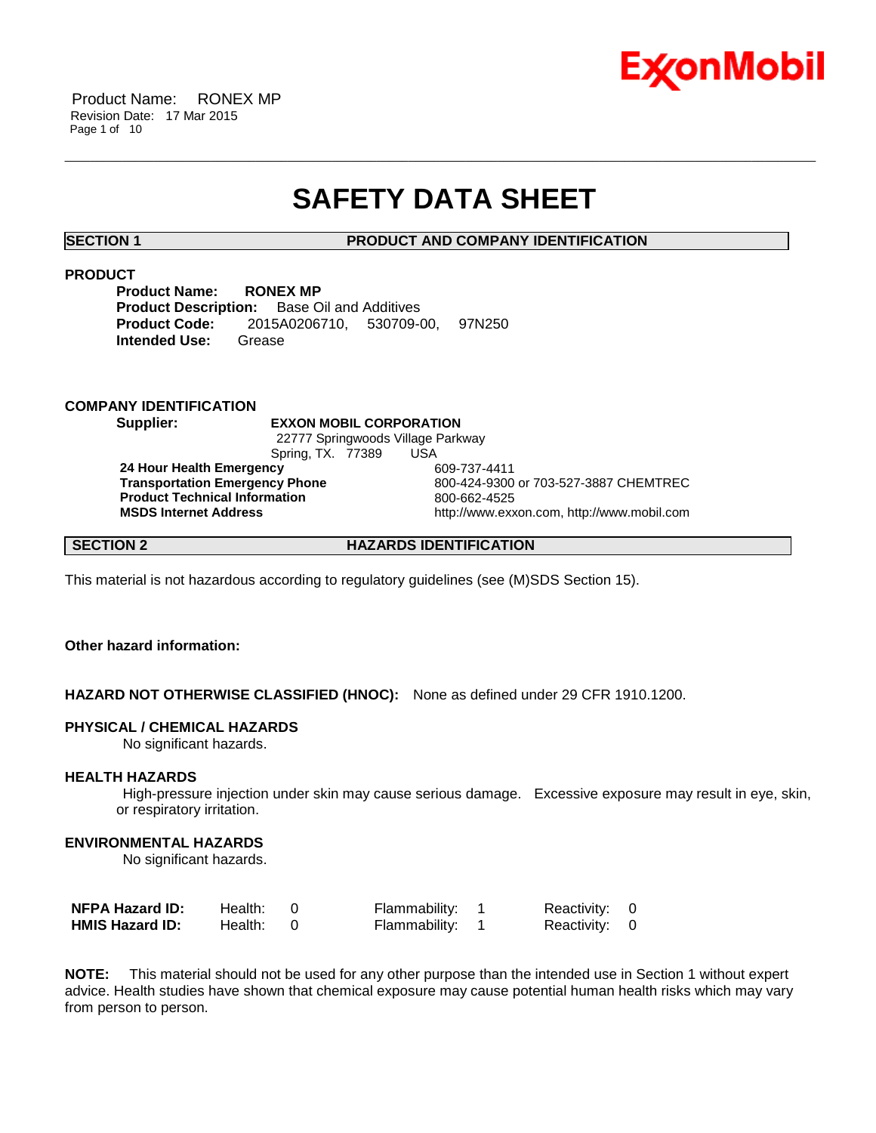

Product Name: RONEX MP Revision Date: 17 Mar 2015 Page 1 of 10

## **SAFETY DATA SHEET**

\_\_\_\_\_\_\_\_\_\_\_\_\_\_\_\_\_\_\_\_\_\_\_\_\_\_\_\_\_\_\_\_\_\_\_\_\_\_\_\_\_\_\_\_\_\_\_\_\_\_\_\_\_\_\_\_\_\_\_\_\_\_\_\_\_\_\_\_\_\_\_\_\_\_\_\_\_\_\_\_\_\_\_\_\_\_\_\_\_\_\_\_\_\_\_\_\_\_\_\_\_\_\_\_\_\_\_\_\_\_\_\_\_\_\_\_\_\_

#### **SECTION 1 PRODUCT AND COMPANY IDENTIFICATION**

#### **PRODUCT**

**Product Name: RONEX MP Product Description:** Base Oil and Additives **Product Code:** 2015A0206710, 530709-00, 97N250 **Intended Use:** Grease

#### **COMPANY IDENTIFICATION**

**Supplier: EXXON MOBIL CORPORATION** 22777 Springwoods Village Parkway Spring, TX. 77389 USA

**24 Hour Health Emergency** 609-737-4411 **Product Technical Information**<br> **MSDS Internet Address**<br>
MSDS Internet Address

**Transportation Emergency Phone** 800-424-9300 or 703-527-3887 CHEMTREC **MSDS Internet Address** http://www.exxon.com, http://www.mobil.com

### **SECTION 2 HAZARDS IDENTIFICATION**

This material is not hazardous according to regulatory guidelines (see (M)SDS Section 15).

### **Other hazard information:**

#### **HAZARD NOT OTHERWISE CLASSIFIED (HNOC):** None as defined under 29 CFR 1910.1200.

#### **PHYSICAL / CHEMICAL HAZARDS**

No significant hazards.

#### **HEALTH HAZARDS**

High-pressure injection under skin may cause serious damage. Excessive exposure may result in eye, skin, or respiratory irritation.

#### **ENVIRONMENTAL HAZARDS**

No significant hazards.

| <b>NFPA Hazard ID:</b> | Health: | Flammability: 1 | Reactivity: 0 |  |
|------------------------|---------|-----------------|---------------|--|
| <b>HMIS Hazard ID:</b> | Health: | Flammability: 1 | Reactivity: 0 |  |

**NOTE:** This material should not be used for any other purpose than the intended use in Section 1 without expert advice. Health studies have shown that chemical exposure may cause potential human health risks which may vary from person to person.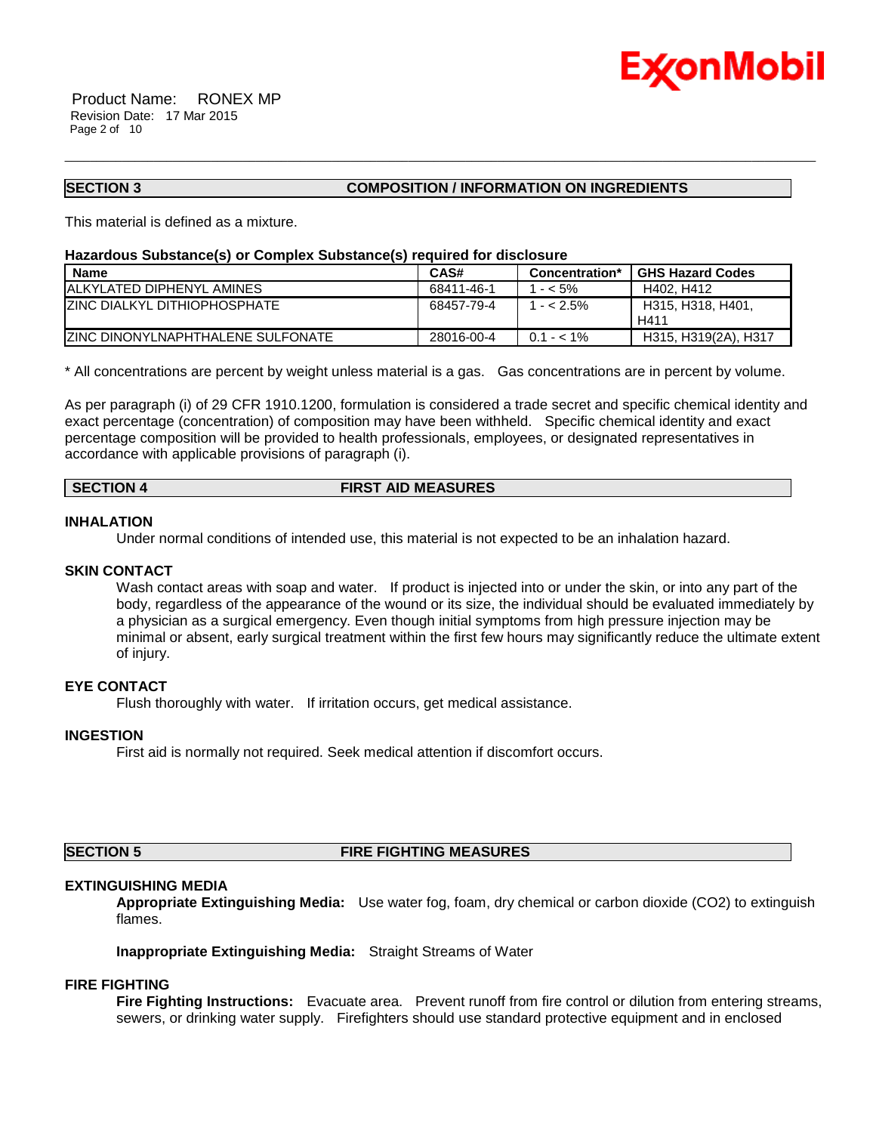

Product Name: RONEX MP Revision Date: 17 Mar 2015 Page 2 of 10

#### **SECTION 3 COMPOSITION / INFORMATION ON INGREDIENTS**

This material is defined as a mixture.

#### **Hazardous Substance(s) or Complex Substance(s) required for disclosure**

| <b>Name</b>                               | CAS#       | Concentration* | <b>GHS Hazard Codes</b>   |
|-------------------------------------------|------------|----------------|---------------------------|
| <b>IALKYLATED DIPHENYL AMINES</b>         | 68411-46-1 | $1 - 5\%$      | H402, H412                |
| <b>ZINC DIALKYL DITHIOPHOSPHATE</b>       | 68457-79-4 | $1 - 2.5\%$    | H315, H318, H401,<br>H411 |
| <b>IZINC DINONYLNAPHTHALENE SULFONATE</b> | 28016-00-4 | $0.1 - 1\%$    | H315, H319(2A), H317      |

\_\_\_\_\_\_\_\_\_\_\_\_\_\_\_\_\_\_\_\_\_\_\_\_\_\_\_\_\_\_\_\_\_\_\_\_\_\_\_\_\_\_\_\_\_\_\_\_\_\_\_\_\_\_\_\_\_\_\_\_\_\_\_\_\_\_\_\_\_\_\_\_\_\_\_\_\_\_\_\_\_\_\_\_\_\_\_\_\_\_\_\_\_\_\_\_\_\_\_\_\_\_\_\_\_\_\_\_\_\_\_\_\_\_\_\_\_\_

\* All concentrations are percent by weight unless material is a gas. Gas concentrations are in percent by volume.

As per paragraph (i) of 29 CFR 1910.1200, formulation is considered a trade secret and specific chemical identity and exact percentage (concentration) of composition may have been withheld. Specific chemical identity and exact percentage composition will be provided to health professionals, employees, or designated representatives in accordance with applicable provisions of paragraph (i).

#### **SECTION 4 FIRST AID MEASURES**

#### **INHALATION**

Under normal conditions of intended use, this material is not expected to be an inhalation hazard.

#### **SKIN CONTACT**

Wash contact areas with soap and water. If product is injected into or under the skin, or into any part of the body, regardless of the appearance of the wound or its size, the individual should be evaluated immediately by a physician as a surgical emergency. Even though initial symptoms from high pressure injection may be minimal or absent, early surgical treatment within the first few hours may significantly reduce the ultimate extent of injury.

#### **EYE CONTACT**

Flush thoroughly with water. If irritation occurs, get medical assistance.

#### **INGESTION**

First aid is normally not required. Seek medical attention if discomfort occurs.

#### **SECTION 5 FIRE FIGHTING MEASURES**

### **EXTINGUISHING MEDIA**

**Appropriate Extinguishing Media:** Use water fog, foam, dry chemical or carbon dioxide (CO2) to extinguish flames.

**Inappropriate Extinguishing Media:** Straight Streams of Water

#### **FIRE FIGHTING**

**Fire Fighting Instructions:** Evacuate area. Prevent runoff from fire control or dilution from entering streams, sewers, or drinking water supply. Firefighters should use standard protective equipment and in enclosed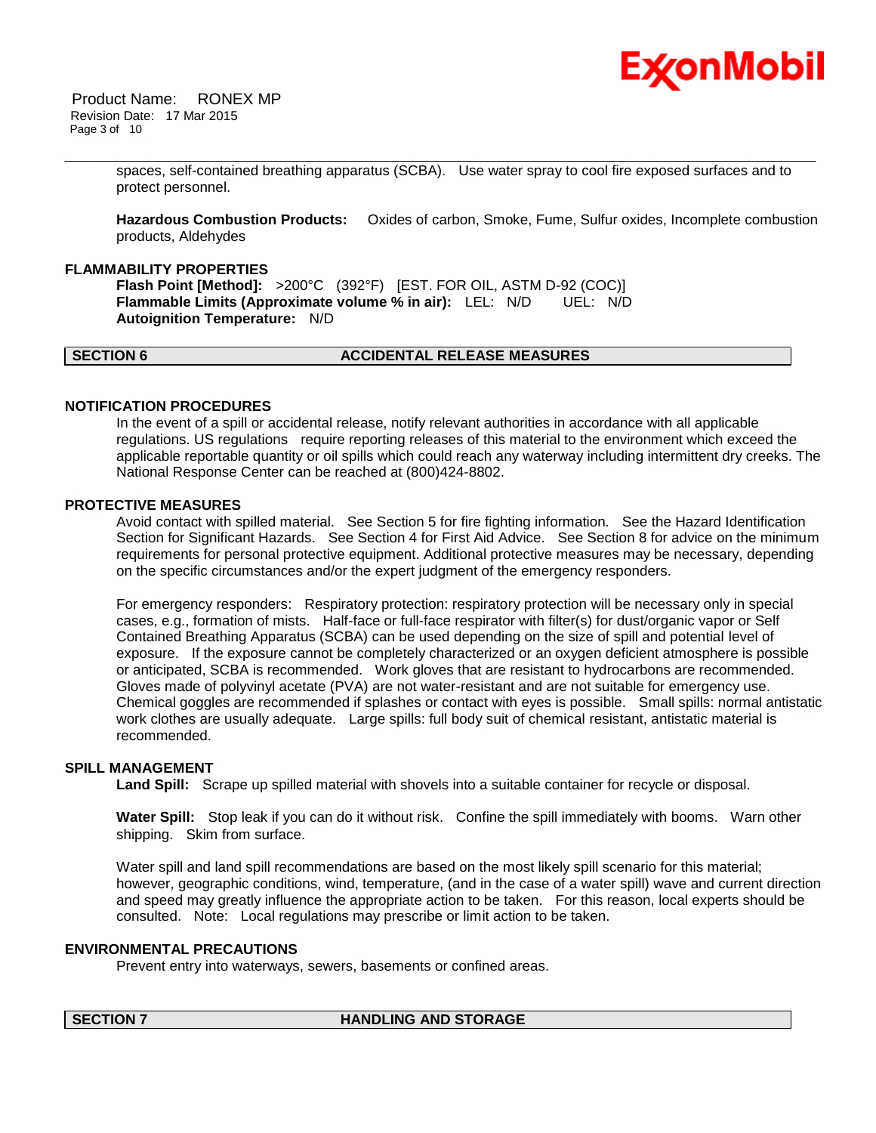

Product Name: RONEX MP Revision Date: 17 Mar 2015 Page 3 of 10

> spaces, self-contained breathing apparatus (SCBA). Use water spray to cool fire exposed surfaces and to protect personnel.

\_\_\_\_\_\_\_\_\_\_\_\_\_\_\_\_\_\_\_\_\_\_\_\_\_\_\_\_\_\_\_\_\_\_\_\_\_\_\_\_\_\_\_\_\_\_\_\_\_\_\_\_\_\_\_\_\_\_\_\_\_\_\_\_\_\_\_\_\_\_\_\_\_\_\_\_\_\_\_\_\_\_\_\_\_\_\_\_\_\_\_\_\_\_\_\_\_\_\_\_\_\_\_\_\_\_\_\_\_\_\_\_\_\_\_\_\_\_

**Hazardous Combustion Products:** Oxides of carbon, Smoke, Fume, Sulfur oxides, Incomplete combustion products, Aldehydes

#### **FLAMMABILITY PROPERTIES**

**Flash Point [Method]:** >200°C (392°F) [EST. FOR OIL, ASTM D-92 (COC)] **Flammable Limits (Approximate volume % in air):** LEL: N/D UEL: N/D **Autoignition Temperature:** N/D

### **SECTION 6 ACCIDENTAL RELEASE MEASURES**

#### **NOTIFICATION PROCEDURES**

In the event of a spill or accidental release, notify relevant authorities in accordance with all applicable regulations. US regulations require reporting releases of this material to the environment which exceed the applicable reportable quantity or oil spills which could reach any waterway including intermittent dry creeks. The National Response Center can be reached at (800)424-8802.

#### **PROTECTIVE MEASURES**

Avoid contact with spilled material. See Section 5 for fire fighting information. See the Hazard Identification Section for Significant Hazards. See Section 4 for First Aid Advice. See Section 8 for advice on the minimum requirements for personal protective equipment. Additional protective measures may be necessary, depending on the specific circumstances and/or the expert judgment of the emergency responders.

For emergency responders: Respiratory protection: respiratory protection will be necessary only in special cases, e.g., formation of mists. Half-face or full-face respirator with filter(s) for dust/organic vapor or Self Contained Breathing Apparatus (SCBA) can be used depending on the size of spill and potential level of exposure. If the exposure cannot be completely characterized or an oxygen deficient atmosphere is possible or anticipated, SCBA is recommended. Work gloves that are resistant to hydrocarbons are recommended. Gloves made of polyvinyl acetate (PVA) are not water-resistant and are not suitable for emergency use. Chemical goggles are recommended if splashes or contact with eyes is possible. Small spills: normal antistatic work clothes are usually adequate. Large spills: full body suit of chemical resistant, antistatic material is recommended.

#### **SPILL MANAGEMENT**

**Land Spill:** Scrape up spilled material with shovels into a suitable container for recycle or disposal.

**Water Spill:** Stop leak if you can do it without risk. Confine the spill immediately with booms. Warn other shipping. Skim from surface.

Water spill and land spill recommendations are based on the most likely spill scenario for this material; however, geographic conditions, wind, temperature, (and in the case of a water spill) wave and current direction and speed may greatly influence the appropriate action to be taken. For this reason, local experts should be consulted. Note: Local regulations may prescribe or limit action to be taken.

#### **ENVIRONMENTAL PRECAUTIONS**

Prevent entry into waterways, sewers, basements or confined areas.

#### **SECTION 7 HANDLING AND STORAGE**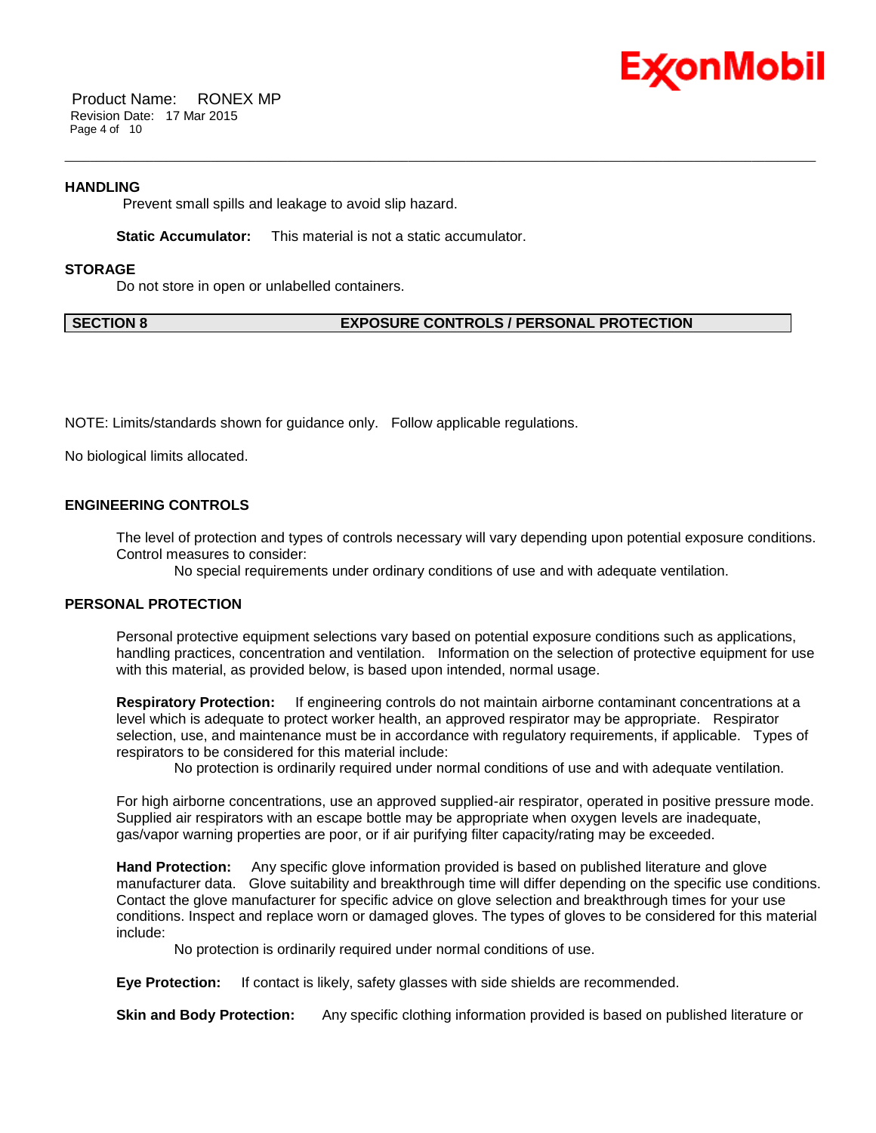

Product Name: RONEX MP Revision Date: 17 Mar 2015 Page 4 of 10

#### **HANDLING**

Prevent small spills and leakage to avoid slip hazard.

**Static Accumulator:** This material is not a static accumulator.

#### **STORAGE**

Do not store in open or unlabelled containers.

#### **SECTION 8 EXPOSURE CONTROLS / PERSONAL PROTECTION**

NOTE: Limits/standards shown for guidance only. Follow applicable regulations.

No biological limits allocated.

#### **ENGINEERING CONTROLS**

The level of protection and types of controls necessary will vary depending upon potential exposure conditions. Control measures to consider:

No special requirements under ordinary conditions of use and with adequate ventilation.

\_\_\_\_\_\_\_\_\_\_\_\_\_\_\_\_\_\_\_\_\_\_\_\_\_\_\_\_\_\_\_\_\_\_\_\_\_\_\_\_\_\_\_\_\_\_\_\_\_\_\_\_\_\_\_\_\_\_\_\_\_\_\_\_\_\_\_\_\_\_\_\_\_\_\_\_\_\_\_\_\_\_\_\_\_\_\_\_\_\_\_\_\_\_\_\_\_\_\_\_\_\_\_\_\_\_\_\_\_\_\_\_\_\_\_\_\_\_

#### **PERSONAL PROTECTION**

Personal protective equipment selections vary based on potential exposure conditions such as applications, handling practices, concentration and ventilation. Information on the selection of protective equipment for use with this material, as provided below, is based upon intended, normal usage.

**Respiratory Protection:** If engineering controls do not maintain airborne contaminant concentrations at a level which is adequate to protect worker health, an approved respirator may be appropriate. Respirator selection, use, and maintenance must be in accordance with regulatory requirements, if applicable. Types of respirators to be considered for this material include:

No protection is ordinarily required under normal conditions of use and with adequate ventilation.

For high airborne concentrations, use an approved supplied-air respirator, operated in positive pressure mode. Supplied air respirators with an escape bottle may be appropriate when oxygen levels are inadequate, gas/vapor warning properties are poor, or if air purifying filter capacity/rating may be exceeded.

**Hand Protection:** Any specific glove information provided is based on published literature and glove manufacturer data. Glove suitability and breakthrough time will differ depending on the specific use conditions. Contact the glove manufacturer for specific advice on glove selection and breakthrough times for your use conditions. Inspect and replace worn or damaged gloves. The types of gloves to be considered for this material include:

No protection is ordinarily required under normal conditions of use.

**Eye Protection:** If contact is likely, safety glasses with side shields are recommended.

**Skin and Body Protection:** Any specific clothing information provided is based on published literature or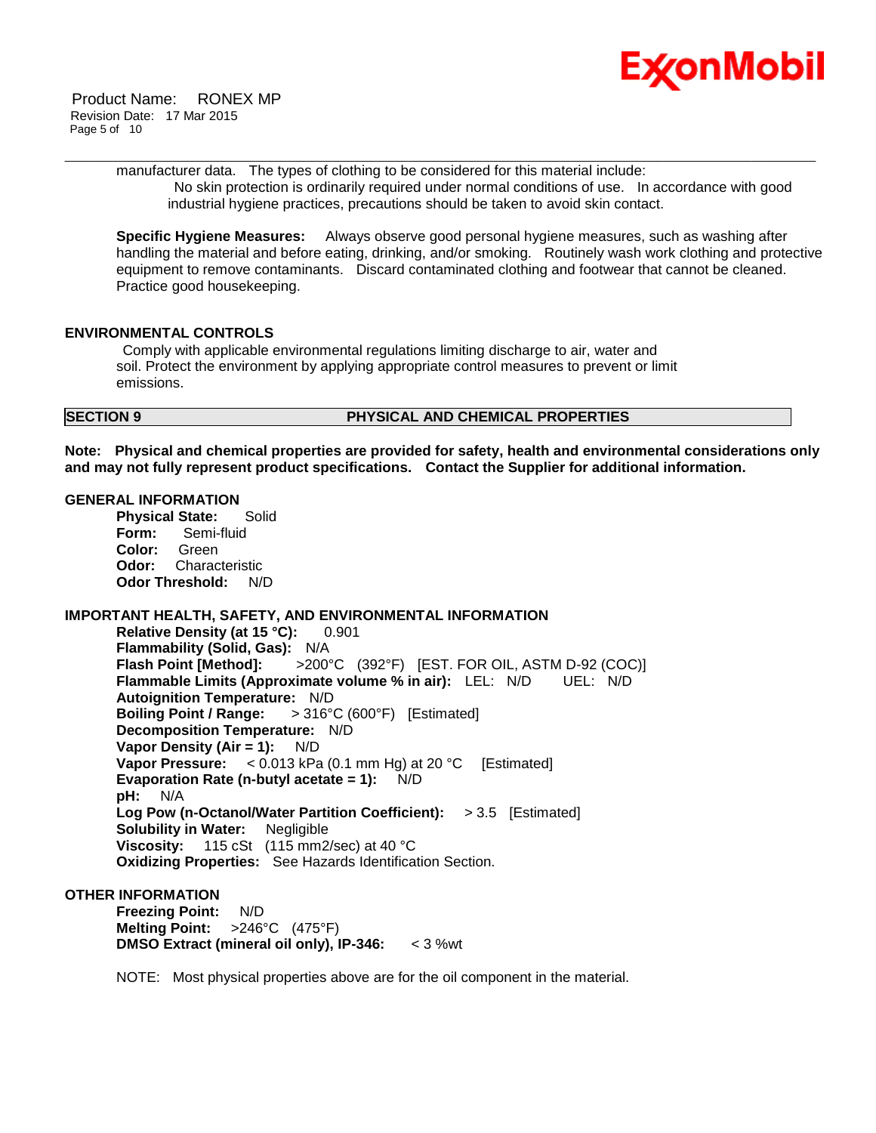

manufacturer data. The types of clothing to be considered for this material include: No skin protection is ordinarily required under normal conditions of use. In accordance with good industrial hygiene practices, precautions should be taken to avoid skin contact.

\_\_\_\_\_\_\_\_\_\_\_\_\_\_\_\_\_\_\_\_\_\_\_\_\_\_\_\_\_\_\_\_\_\_\_\_\_\_\_\_\_\_\_\_\_\_\_\_\_\_\_\_\_\_\_\_\_\_\_\_\_\_\_\_\_\_\_\_\_\_\_\_\_\_\_\_\_\_\_\_\_\_\_\_\_\_\_\_\_\_\_\_\_\_\_\_\_\_\_\_\_\_\_\_\_\_\_\_\_\_\_\_\_\_\_\_\_\_

**Specific Hygiene Measures:** Always observe good personal hygiene measures, such as washing after handling the material and before eating, drinking, and/or smoking. Routinely wash work clothing and protective equipment to remove contaminants. Discard contaminated clothing and footwear that cannot be cleaned. Practice good housekeeping.

#### **ENVIRONMENTAL CONTROLS**

Comply with applicable environmental regulations limiting discharge to air, water and soil. Protect the environment by applying appropriate control measures to prevent or limit emissions.

#### **SECTION 9 PHYSICAL AND CHEMICAL PROPERTIES**

**Note: Physical and chemical properties are provided for safety, health and environmental considerations only and may not fully represent product specifications. Contact the Supplier for additional information.**

#### **GENERAL INFORMATION**

**Physical State:** Solid **Form:** Semi-fluid **Color:** Green **Odor:** Characteristic **Odor Threshold:** N/D

### **IMPORTANT HEALTH, SAFETY, AND ENVIRONMENTAL INFORMATION**

**Relative Density (at 15 °C):** 0.901 **Flammability (Solid, Gas):** N/A **Flash Point [Method]:** >200°C (392°F) [EST. FOR OIL, ASTM D-92 (COC)] **Flammable Limits (Approximate volume % in air):** LEL: N/D UEL: N/D **Autoignition Temperature:** N/D **Boiling Point / Range:** > 316°C (600°F) [Estimated] **Decomposition Temperature:** N/D **Vapor Density (Air = 1):** N/D **Vapor Pressure:** < 0.013 kPa (0.1 mm Hg) at 20 °C [Estimated] **Evaporation Rate (n-butyl acetate = 1):** N/D **pH:** N/A **Log Pow (n-Octanol/Water Partition Coefficient):** > 3.5 [Estimated] **Solubility in Water:** Negligible **Viscosity:** 115 cSt (115 mm2/sec) at 40 °C **Oxidizing Properties:** See Hazards Identification Section.

#### **OTHER INFORMATION**

**Freezing Point:** N/D **Melting Point:** >246°C (475°F) **DMSO Extract (mineral oil only), IP-346:** < 3 %wt

NOTE: Most physical properties above are for the oil component in the material.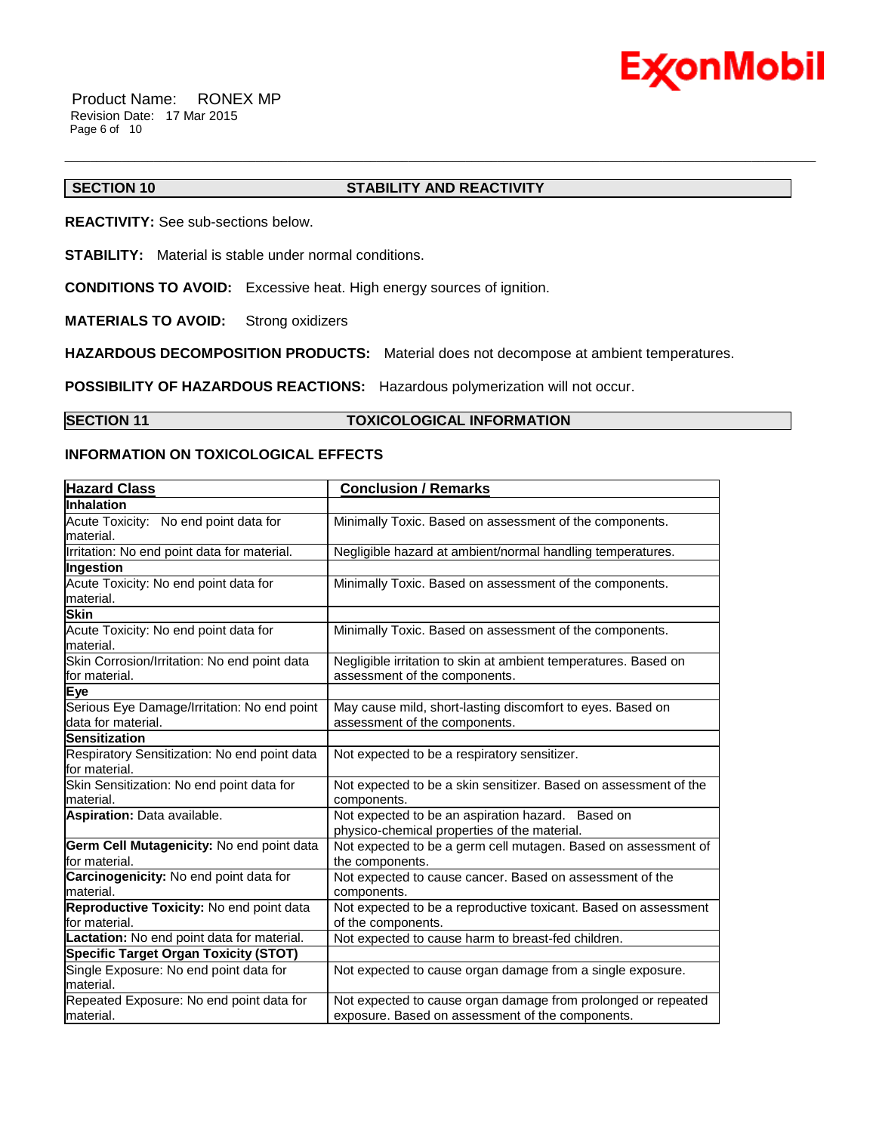

Product Name: RONEX MP Revision Date: 17 Mar 2015 Page 6 of 10

#### **SECTION 10 STABILITY AND REACTIVITY**

\_\_\_\_\_\_\_\_\_\_\_\_\_\_\_\_\_\_\_\_\_\_\_\_\_\_\_\_\_\_\_\_\_\_\_\_\_\_\_\_\_\_\_\_\_\_\_\_\_\_\_\_\_\_\_\_\_\_\_\_\_\_\_\_\_\_\_\_\_\_\_\_\_\_\_\_\_\_\_\_\_\_\_\_\_\_\_\_\_\_\_\_\_\_\_\_\_\_\_\_\_\_\_\_\_\_\_\_\_\_\_\_\_\_\_\_\_\_

**REACTIVITY:** See sub-sections below.

**STABILITY:** Material is stable under normal conditions.

**CONDITIONS TO AVOID:** Excessive heat. High energy sources of ignition.

**MATERIALS TO AVOID:** Strong oxidizers

**HAZARDOUS DECOMPOSITION PRODUCTS:** Material does not decompose at ambient temperatures.

**POSSIBILITY OF HAZARDOUS REACTIONS:** Hazardous polymerization will not occur.

#### **SECTION 11 TOXICOLOGICAL INFORMATION**

#### **INFORMATION ON TOXICOLOGICAL EFFECTS**

| <b>Hazard Class</b>                                               | <b>Conclusion / Remarks</b>                                                                                       |
|-------------------------------------------------------------------|-------------------------------------------------------------------------------------------------------------------|
| <b>Inhalation</b>                                                 |                                                                                                                   |
| Acute Toxicity: No end point data for<br>material.                | Minimally Toxic. Based on assessment of the components.                                                           |
| Irritation: No end point data for material.                       | Negligible hazard at ambient/normal handling temperatures.                                                        |
| Ingestion                                                         |                                                                                                                   |
| Acute Toxicity: No end point data for<br>material.                | Minimally Toxic. Based on assessment of the components.                                                           |
| <b>Skin</b>                                                       |                                                                                                                   |
| Acute Toxicity: No end point data for<br>material.                | Minimally Toxic. Based on assessment of the components.                                                           |
| Skin Corrosion/Irritation: No end point data<br>for material.     | Negligible irritation to skin at ambient temperatures. Based on<br>assessment of the components.                  |
| Eye                                                               |                                                                                                                   |
| Serious Eye Damage/Irritation: No end point<br>data for material. | May cause mild, short-lasting discomfort to eyes. Based on<br>assessment of the components.                       |
| <b>Sensitization</b>                                              |                                                                                                                   |
| Respiratory Sensitization: No end point data<br>for material.     | Not expected to be a respiratory sensitizer.                                                                      |
| Skin Sensitization: No end point data for<br>material.            | Not expected to be a skin sensitizer. Based on assessment of the<br>components.                                   |
| Aspiration: Data available.                                       | Not expected to be an aspiration hazard. Based on<br>physico-chemical properties of the material.                 |
| Germ Cell Mutagenicity: No end point data<br>for material.        | Not expected to be a germ cell mutagen. Based on assessment of<br>the components.                                 |
| Carcinogenicity: No end point data for<br>material.               | Not expected to cause cancer. Based on assessment of the<br>components.                                           |
| Reproductive Toxicity: No end point data<br>for material.         | Not expected to be a reproductive toxicant. Based on assessment<br>of the components.                             |
| Lactation: No end point data for material.                        | Not expected to cause harm to breast-fed children.                                                                |
| <b>Specific Target Organ Toxicity (STOT)</b>                      |                                                                                                                   |
| Single Exposure: No end point data for<br>material.               | Not expected to cause organ damage from a single exposure.                                                        |
| Repeated Exposure: No end point data for<br>lmaterial.            | Not expected to cause organ damage from prolonged or repeated<br>exposure. Based on assessment of the components. |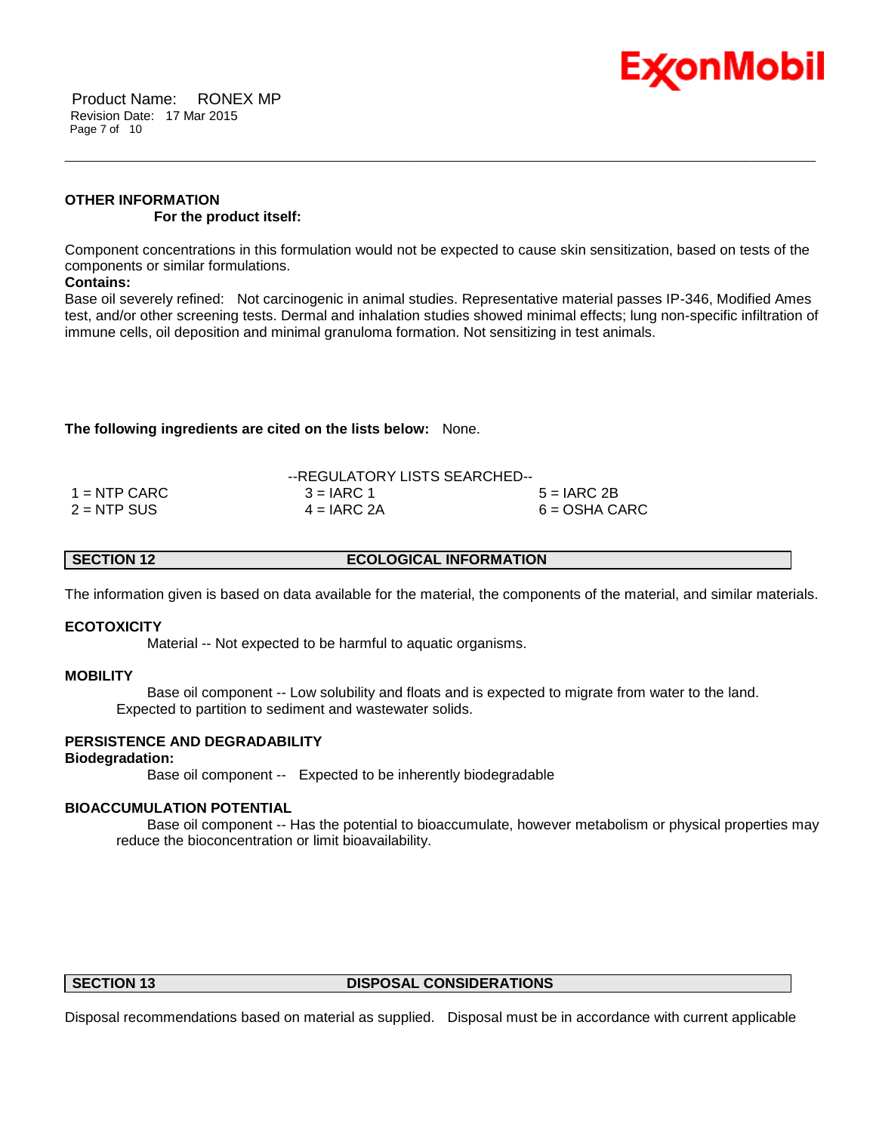

Product Name: RONEX MP Revision Date: 17 Mar 2015 Page 7 of 10

### **OTHER INFORMATION For the product itself:**

Component concentrations in this formulation would not be expected to cause skin sensitization, based on tests of the components or similar formulations.

\_\_\_\_\_\_\_\_\_\_\_\_\_\_\_\_\_\_\_\_\_\_\_\_\_\_\_\_\_\_\_\_\_\_\_\_\_\_\_\_\_\_\_\_\_\_\_\_\_\_\_\_\_\_\_\_\_\_\_\_\_\_\_\_\_\_\_\_\_\_\_\_\_\_\_\_\_\_\_\_\_\_\_\_\_\_\_\_\_\_\_\_\_\_\_\_\_\_\_\_\_\_\_\_\_\_\_\_\_\_\_\_\_\_\_\_\_\_

#### **Contains:**

Base oil severely refined: Not carcinogenic in animal studies. Representative material passes IP-346, Modified Ames test, and/or other screening tests. Dermal and inhalation studies showed minimal effects; lung non-specific infiltration of immune cells, oil deposition and minimal granuloma formation. Not sensitizing in test animals.

#### **The following ingredients are cited on the lists below:** None.

|                | --REGULATORY LISTS SEARCHED-- |                 |
|----------------|-------------------------------|-----------------|
| $1 =$ NTP CARC | $3 = IARC 1$                  | $5 = IARC 2B$   |
| $2 = NTP$ SUS  | $4 = IARC 2A$                 | $6 = OSHA CARC$ |

|--|

The information given is based on data available for the material, the components of the material, and similar materials.

#### **ECOTOXICITY**

Material -- Not expected to be harmful to aquatic organisms.

#### **MOBILITY**

 Base oil component -- Low solubility and floats and is expected to migrate from water to the land. Expected to partition to sediment and wastewater solids.

### **PERSISTENCE AND DEGRADABILITY**

### **Biodegradation:**

Base oil component -- Expected to be inherently biodegradable

#### **BIOACCUMULATION POTENTIAL**

 Base oil component -- Has the potential to bioaccumulate, however metabolism or physical properties may reduce the bioconcentration or limit bioavailability.

#### **SECTION 13 DISPOSAL CONSIDERATIONS**

Disposal recommendations based on material as supplied. Disposal must be in accordance with current applicable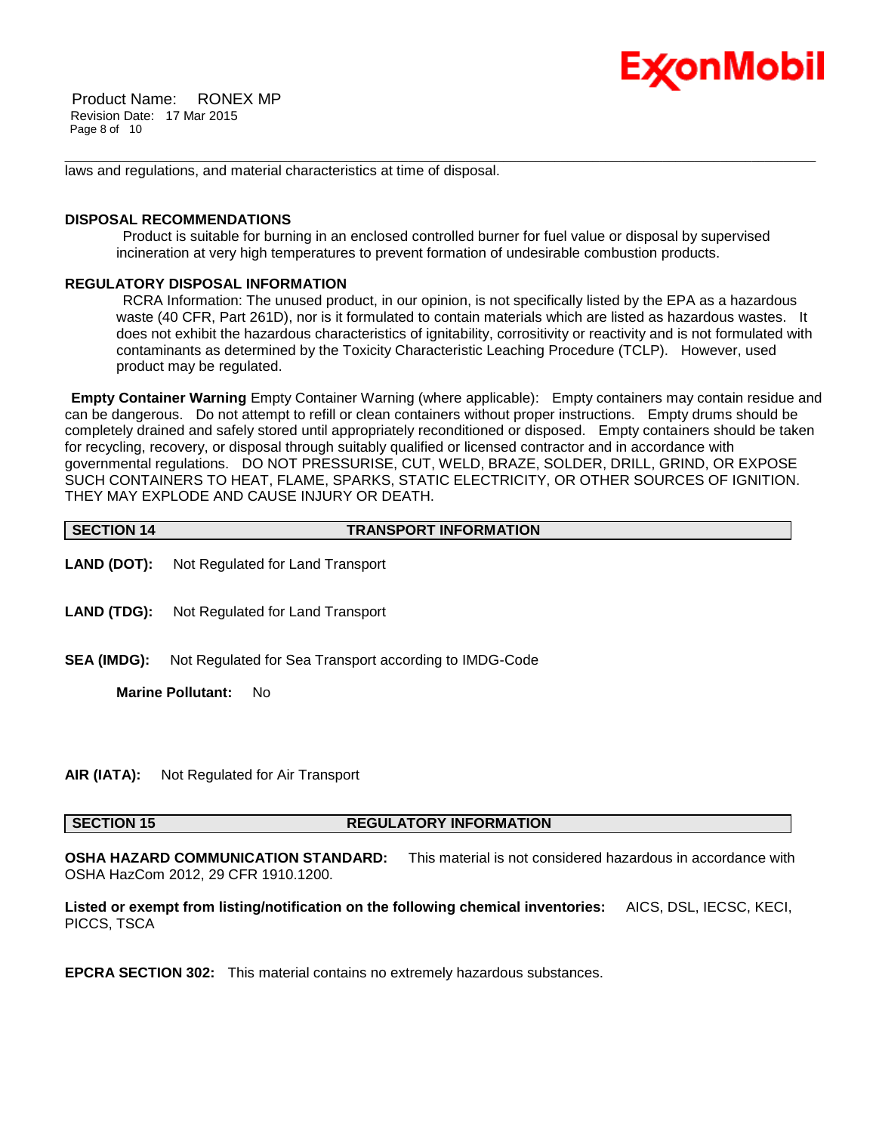# Ex⁄onMobil

Product Name: RONEX MP Revision Date: 17 Mar 2015 Page 8 of 10

laws and regulations, and material characteristics at time of disposal.

#### **DISPOSAL RECOMMENDATIONS**

Product is suitable for burning in an enclosed controlled burner for fuel value or disposal by supervised incineration at very high temperatures to prevent formation of undesirable combustion products.

\_\_\_\_\_\_\_\_\_\_\_\_\_\_\_\_\_\_\_\_\_\_\_\_\_\_\_\_\_\_\_\_\_\_\_\_\_\_\_\_\_\_\_\_\_\_\_\_\_\_\_\_\_\_\_\_\_\_\_\_\_\_\_\_\_\_\_\_\_\_\_\_\_\_\_\_\_\_\_\_\_\_\_\_\_\_\_\_\_\_\_\_\_\_\_\_\_\_\_\_\_\_\_\_\_\_\_\_\_\_\_\_\_\_\_\_\_\_

### **REGULATORY DISPOSAL INFORMATION**

RCRA Information: The unused product, in our opinion, is not specifically listed by the EPA as a hazardous waste (40 CFR, Part 261D), nor is it formulated to contain materials which are listed as hazardous wastes. It does not exhibit the hazardous characteristics of ignitability, corrositivity or reactivity and is not formulated with contaminants as determined by the Toxicity Characteristic Leaching Procedure (TCLP). However, used product may be regulated.

**Empty Container Warning** Empty Container Warning (where applicable): Empty containers may contain residue and can be dangerous. Do not attempt to refill or clean containers without proper instructions. Empty drums should be completely drained and safely stored until appropriately reconditioned or disposed. Empty containers should be taken for recycling, recovery, or disposal through suitably qualified or licensed contractor and in accordance with governmental regulations. DO NOT PRESSURISE, CUT, WELD, BRAZE, SOLDER, DRILL, GRIND, OR EXPOSE SUCH CONTAINERS TO HEAT, FLAME, SPARKS, STATIC ELECTRICITY, OR OTHER SOURCES OF IGNITION. THEY MAY EXPLODE AND CAUSE INJURY OR DEATH.

| <b>SECTION 14</b> | <b>TRANSPORT INFORMATION</b> |
|-------------------|------------------------------|

- **LAND (DOT):** Not Regulated for Land Transport
- **LAND (TDG):** Not Regulated for Land Transport
- **SEA (IMDG):** Not Regulated for Sea Transport according to IMDG-Code

**Marine Pollutant:** No

**AIR (IATA):** Not Regulated for Air Transport

### **SECTION 15 REGULATORY INFORMATION**

**OSHA HAZARD COMMUNICATION STANDARD:** This material is not considered hazardous in accordance with OSHA HazCom 2012, 29 CFR 1910.1200.

**Listed or exempt from listing/notification on the following chemical inventories:** AICS, DSL, IECSC, KECI, PICCS, TSCA

**EPCRA SECTION 302:** This material contains no extremely hazardous substances.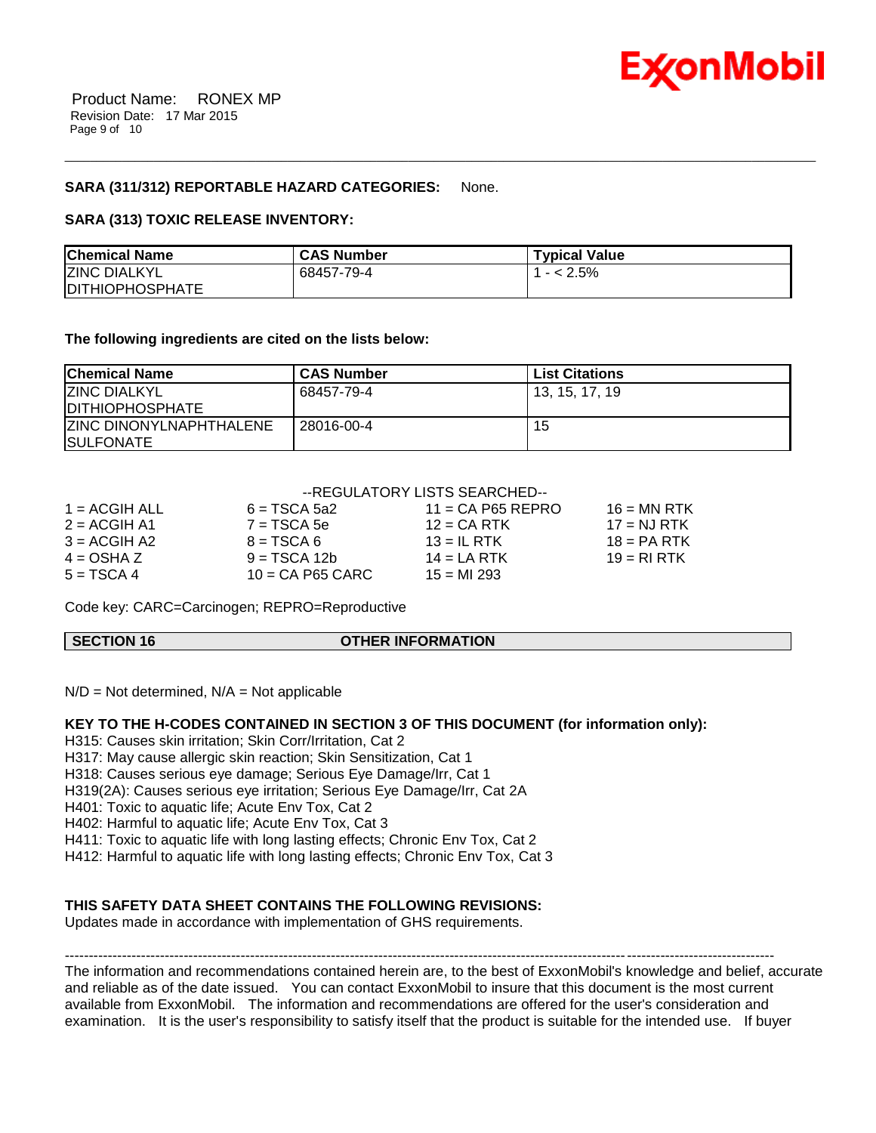

#### **SARA (311/312) REPORTABLE HAZARD CATEGORIES:** None.

#### **SARA (313) TOXIC RELEASE INVENTORY:**

| <b>Chemical Name</b>    | <b>CAS Number</b> | <b>Typical Value</b> |
|-------------------------|-------------------|----------------------|
| <b>ZINC DIALKYL</b>     | 68457-79-4        | $- < 2.5\%$          |
| <b>IDITHIOPHOSPHATE</b> |                   |                      |

\_\_\_\_\_\_\_\_\_\_\_\_\_\_\_\_\_\_\_\_\_\_\_\_\_\_\_\_\_\_\_\_\_\_\_\_\_\_\_\_\_\_\_\_\_\_\_\_\_\_\_\_\_\_\_\_\_\_\_\_\_\_\_\_\_\_\_\_\_\_\_\_\_\_\_\_\_\_\_\_\_\_\_\_\_\_\_\_\_\_\_\_\_\_\_\_\_\_\_\_\_\_\_\_\_\_\_\_\_\_\_\_\_\_\_\_\_\_

#### **The following ingredients are cited on the lists below:**

| <b>Chemical Name</b>                               | <b>CAS Number</b> | <b>List Citations</b> |
|----------------------------------------------------|-------------------|-----------------------|
| <b>IZINC DIALKYL</b><br><b>IDITHIOPHOSPHATE</b>    | 68457-79-4        | 13, 15, 17, 19        |
| <b>ZINC DINONYLNAPHTHALENE</b><br><b>SULFONATE</b> | 28016-00-4        | 15                    |

#### --REGULATORY LISTS SEARCHED--

| $1 = ACGIH ALL$ | $6 = TSCA 5a2$     | $11 = CA$ P65 REPRO | $16 = MN$ RTK  |
|-----------------|--------------------|---------------------|----------------|
| $2 = ACGIH A1$  | $7 = TSCA5e$       | $12$ = CA RTK       | $17 = N.J RTK$ |
| $3 = ACGH A2$   | $B = TSCA6$        | $13 = IL$ RTK       | $18 = PA RTK$  |
| $4 = OSHA Z$    | $9 = TSCA 12b$     | $14 = LA RTK$       | $19 = R1 RTK$  |
| $5 = TSCA4$     | $10 = CA$ P65 CARC | $15 = M1293$        |                |
|                 |                    |                     |                |

Code key: CARC=Carcinogen; REPRO=Reproductive

#### **SECTION 16 OTHER INFORMATION**

 $N/D = Not determined$ ,  $N/A = Not$  applicable

#### **KEY TO THE H-CODES CONTAINED IN SECTION 3 OF THIS DOCUMENT (for information only):**

H315: Causes skin irritation; Skin Corr/Irritation, Cat 2

H317: May cause allergic skin reaction; Skin Sensitization, Cat 1

H318: Causes serious eye damage; Serious Eye Damage/Irr, Cat 1

H319(2A): Causes serious eye irritation; Serious Eye Damage/Irr, Cat 2A

H401: Toxic to aquatic life; Acute Env Tox, Cat 2

H402: Harmful to aquatic life; Acute Env Tox, Cat 3

H411: Toxic to aquatic life with long lasting effects; Chronic Env Tox, Cat 2

H412: Harmful to aquatic life with long lasting effects; Chronic Env Tox, Cat 3

#### **THIS SAFETY DATA SHEET CONTAINS THE FOLLOWING REVISIONS:**

Updates made in accordance with implementation of GHS requirements.

----------------------------------------------------------------------------------------------------------------------------------------------------- The information and recommendations contained herein are, to the best of ExxonMobil's knowledge and belief, accurate and reliable as of the date issued. You can contact ExxonMobil to insure that this document is the most current available from ExxonMobil. The information and recommendations are offered for the user's consideration and examination. It is the user's responsibility to satisfy itself that the product is suitable for the intended use. If buyer